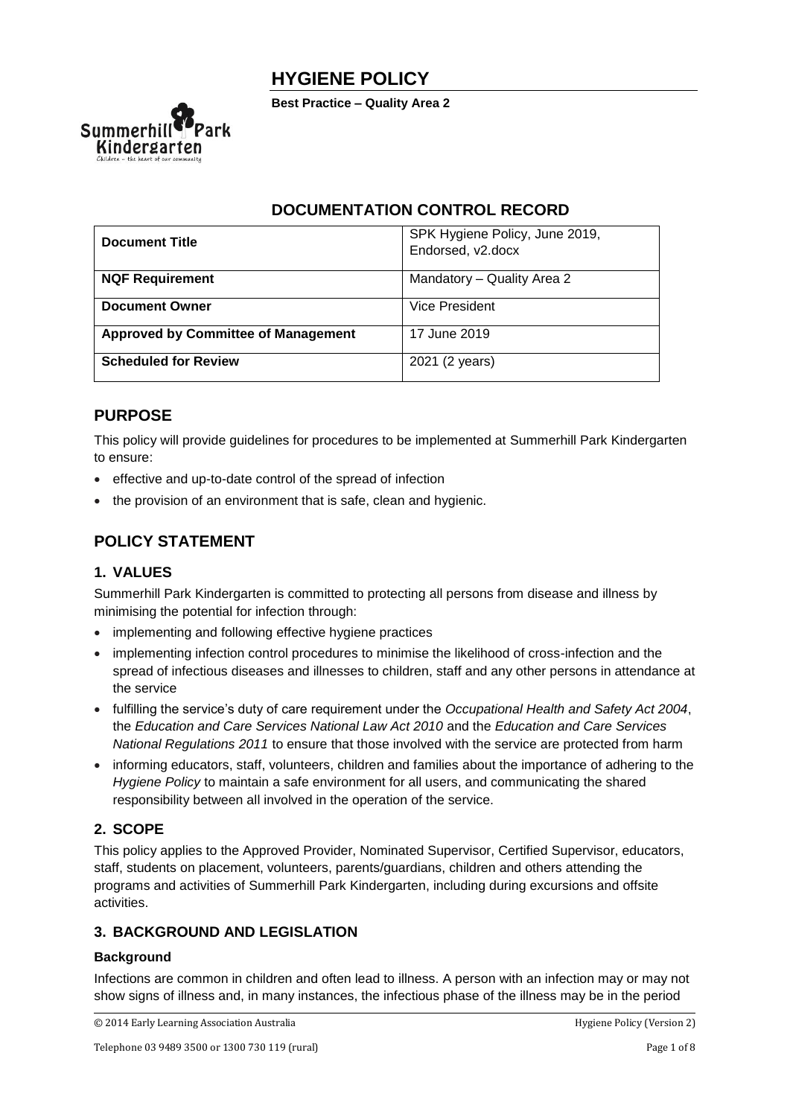



# **DOCUMENTATION CONTROL RECORD**

| <b>Document Title</b>                      | SPK Hygiene Policy, June 2019,<br>Endorsed, v2.docx |
|--------------------------------------------|-----------------------------------------------------|
| <b>NQF Requirement</b>                     | Mandatory - Quality Area 2                          |
| <b>Document Owner</b>                      | Vice President                                      |
| <b>Approved by Committee of Management</b> | 17 June 2019                                        |
| <b>Scheduled for Review</b>                | 2021 (2 years)                                      |

# **PURPOSE**

This policy will provide guidelines for procedures to be implemented at Summerhill Park Kindergarten to ensure:

- effective and up-to-date control of the spread of infection
- the provision of an environment that is safe, clean and hygienic.

# **POLICY STATEMENT**

## **1. VALUES**

Summerhill Park Kindergarten is committed to protecting all persons from disease and illness by minimising the potential for infection through:

- implementing and following effective hygiene practices
- implementing infection control procedures to minimise the likelihood of cross-infection and the spread of infectious diseases and illnesses to children, staff and any other persons in attendance at the service
- fulfilling the service's duty of care requirement under the *Occupational Health and Safety Act 2004*, the *Education and Care Services National Law Act 2010* and the *Education and Care Services National Regulations 2011* to ensure that those involved with the service are protected from harm
- informing educators, staff, volunteers, children and families about the importance of adhering to the *Hygiene Policy* to maintain a safe environment for all users, and communicating the shared responsibility between all involved in the operation of the service.

## **2. SCOPE**

This policy applies to the Approved Provider, Nominated Supervisor, Certified Supervisor, educators, staff, students on placement, volunteers, parents/guardians, children and others attending the programs and activities of Summerhill Park Kindergarten, including during excursions and offsite activities.

## **3. BACKGROUND AND LEGISLATION**

### **Background**

Infections are common in children and often lead to illness. A person with an infection may or may not show signs of illness and, in many instances, the infectious phase of the illness may be in the period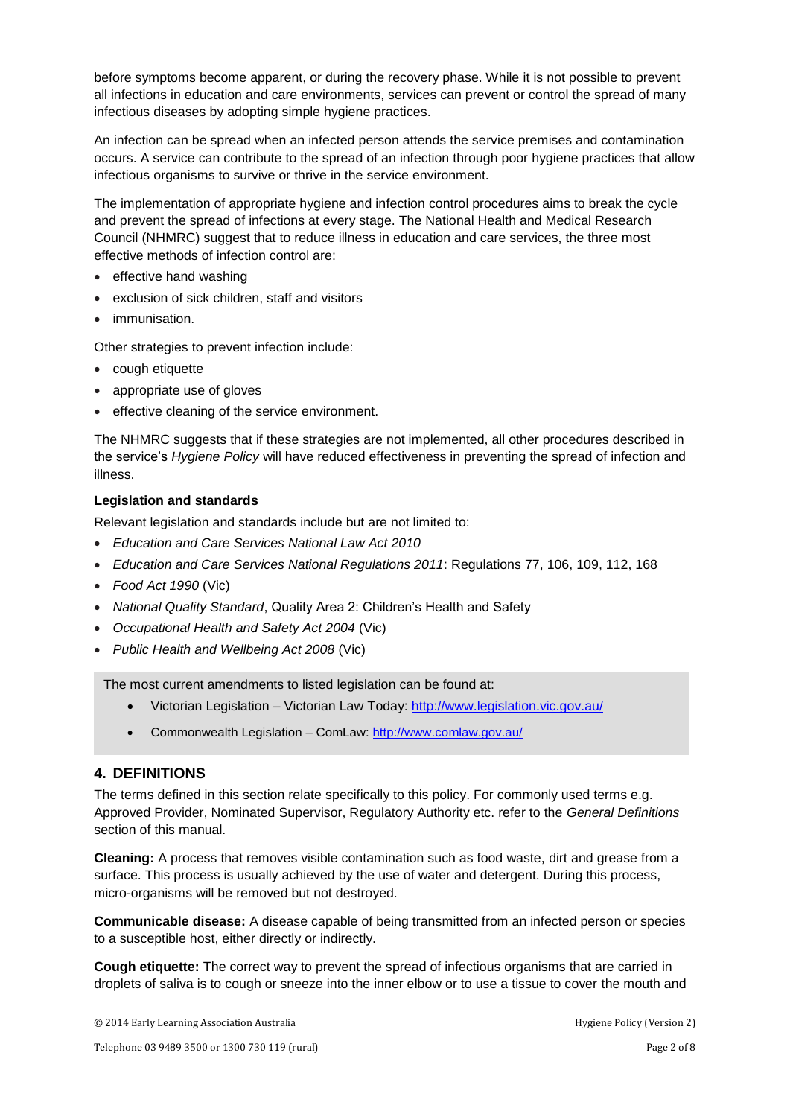before symptoms become apparent, or during the recovery phase. While it is not possible to prevent all infections in education and care environments, services can prevent or control the spread of many infectious diseases by adopting simple hygiene practices.

An infection can be spread when an infected person attends the service premises and contamination occurs. A service can contribute to the spread of an infection through poor hygiene practices that allow infectious organisms to survive or thrive in the service environment.

The implementation of appropriate hygiene and infection control procedures aims to break the cycle and prevent the spread of infections at every stage. The National Health and Medical Research Council (NHMRC) suggest that to reduce illness in education and care services, the three most effective methods of infection control are:

- effective hand washing
- exclusion of sick children, staff and visitors
- immunisation.

Other strategies to prevent infection include:

- cough etiquette
- appropriate use of gloves
- effective cleaning of the service environment.

The NHMRC suggests that if these strategies are not implemented, all other procedures described in the service's *Hygiene Policy* will have reduced effectiveness in preventing the spread of infection and illness.

#### **Legislation and standards**

Relevant legislation and standards include but are not limited to:

- *Education and Care Services National Law Act 2010*
- *Education and Care Services National Regulations 2011*: Regulations 77, 106, 109, 112, 168
- *Food Act 1990* (Vic)
- *National Quality Standard*, Quality Area 2: Children's Health and Safety
- *Occupational Health and Safety Act 2004* (Vic)
- *Public Health and Wellbeing Act 2008* (Vic)

The most current amendments to listed legislation can be found at:

- Victorian Legislation Victorian Law Today:<http://www.legislation.vic.gov.au/>
- Commonwealth Legislation ComLaw:<http://www.comlaw.gov.au/>

#### **4. DEFINITIONS**

The terms defined in this section relate specifically to this policy. For commonly used terms e.g. Approved Provider, Nominated Supervisor, Regulatory Authority etc. refer to the *General Definitions* section of this manual.

**Cleaning:** A process that removes visible contamination such as food waste, dirt and grease from a surface. This process is usually achieved by the use of water and detergent. During this process, micro-organisms will be removed but not destroyed.

**Communicable disease:** A disease capable of being transmitted from an infected person or species to a susceptible host, either directly or indirectly.

**Cough etiquette:** The correct way to prevent the spread of infectious organisms that are carried in droplets of saliva is to cough or sneeze into the inner elbow or to use a tissue to cover the mouth and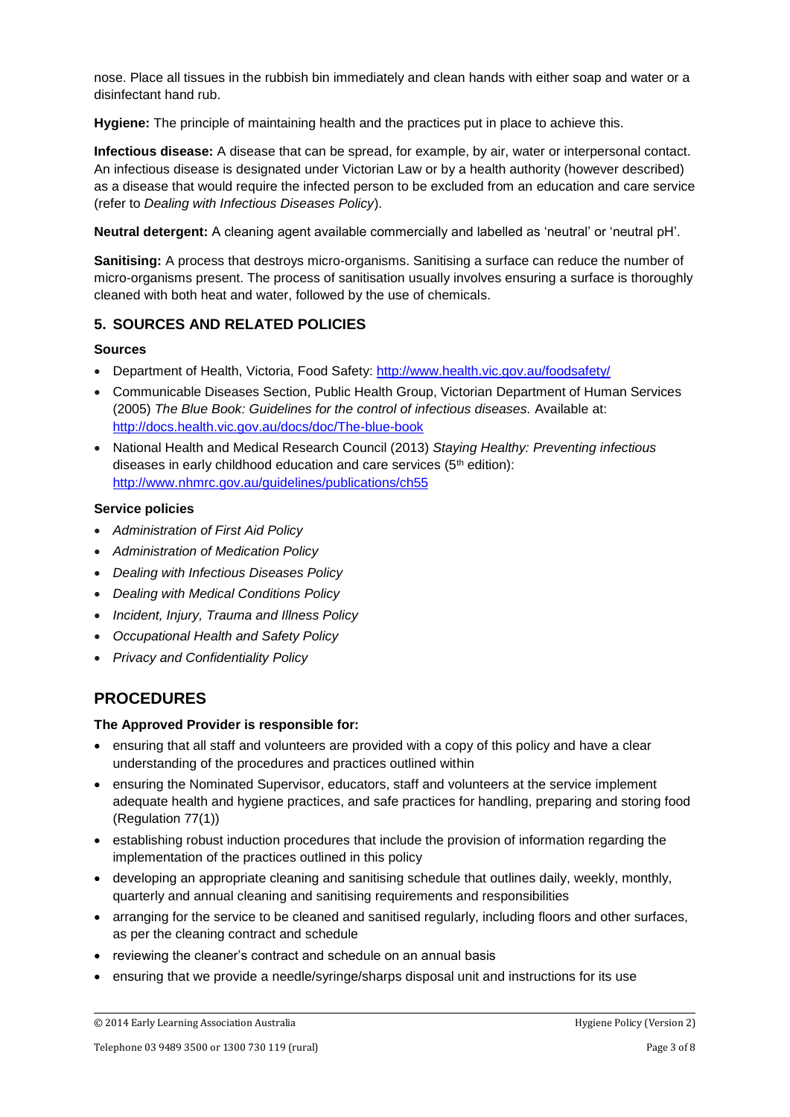nose. Place all tissues in the rubbish bin immediately and clean hands with either soap and water or a disinfectant hand rub.

**Hygiene:** The principle of maintaining health and the practices put in place to achieve this.

**Infectious disease:** A disease that can be spread, for example, by air, water or interpersonal contact. An infectious disease is designated under Victorian Law or by a health authority (however described) as a disease that would require the infected person to be excluded from an education and care service (refer to *Dealing with Infectious Diseases Policy*).

**Neutral detergent:** A cleaning agent available commercially and labelled as 'neutral' or 'neutral pH'.

**Sanitising:** A process that destroys micro-organisms. Sanitising a surface can reduce the number of micro-organisms present. The process of sanitisation usually involves ensuring a surface is thoroughly cleaned with both heat and water, followed by the use of chemicals.

### **5. SOURCES AND RELATED POLICIES**

#### **Sources**

- Department of Health, Victoria, Food Safety:<http://www.health.vic.gov.au/foodsafety/>
- Communicable Diseases Section, Public Health Group, Victorian Department of Human Services (2005) *The Blue Book: Guidelines for the control of infectious diseases.* Available at: <http://docs.health.vic.gov.au/docs/doc/The-blue-book>
- National Health and Medical Research Council (2013) *Staying Healthy: Preventing infectious*  diseases in early childhood education and care services (5th edition): <http://www.nhmrc.gov.au/guidelines/publications/ch55>

#### **Service policies**

- *Administration of First Aid Policy*
- *Administration of Medication Policy*
- *Dealing with Infectious Diseases Policy*
- *Dealing with Medical Conditions Policy*
- *Incident, Injury, Trauma and Illness Policy*
- *Occupational Health and Safety Policy*
- *Privacy and Confidentiality Policy*

## **PROCEDURES**

#### **The Approved Provider is responsible for:**

- ensuring that all staff and volunteers are provided with a copy of this policy and have a clear understanding of the procedures and practices outlined within
- ensuring the Nominated Supervisor, educators, staff and volunteers at the service implement adequate health and hygiene practices, and safe practices for handling, preparing and storing food (Regulation 77(1))
- establishing robust induction procedures that include the provision of information regarding the implementation of the practices outlined in this policy
- developing an appropriate cleaning and sanitising schedule that outlines daily, weekly, monthly, quarterly and annual cleaning and sanitising requirements and responsibilities
- arranging for the service to be cleaned and sanitised regularly, including floors and other surfaces, as per the cleaning contract and schedule
- reviewing the cleaner's contract and schedule on an annual basis
- ensuring that we provide a needle/syringe/sharps disposal unit and instructions for its use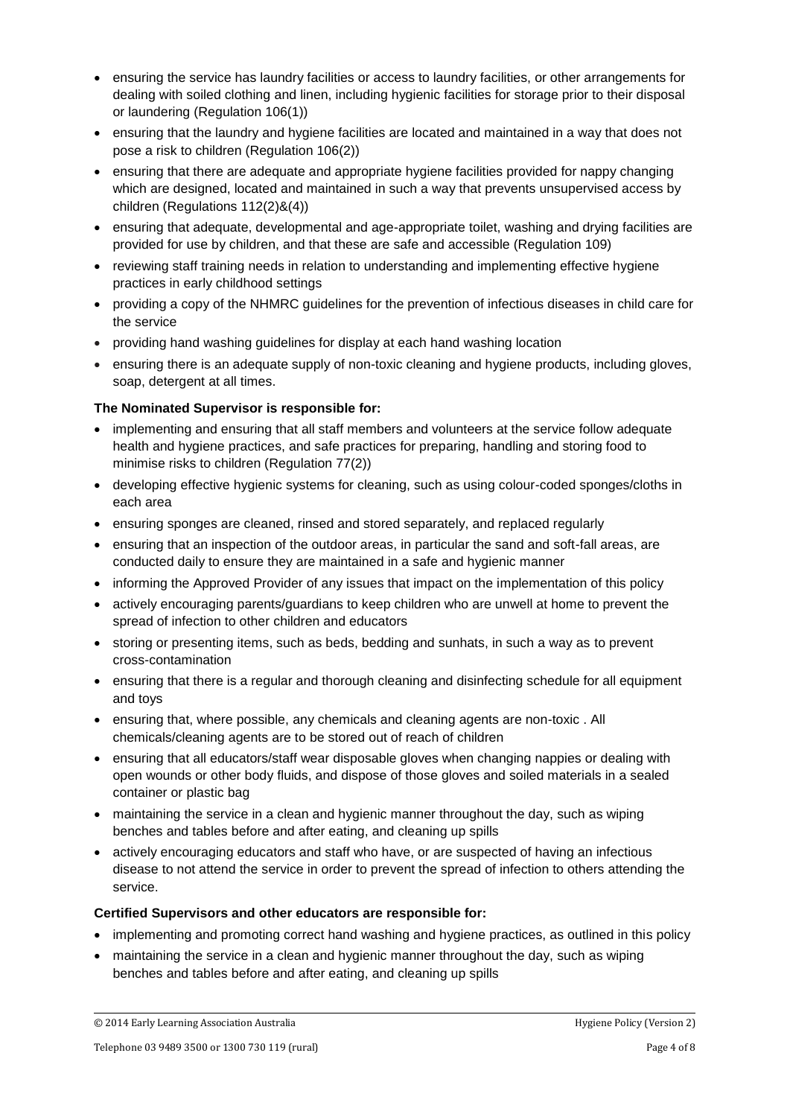- ensuring the service has laundry facilities or access to laundry facilities, or other arrangements for dealing with soiled clothing and linen, including hygienic facilities for storage prior to their disposal or laundering (Regulation 106(1))
- ensuring that the laundry and hygiene facilities are located and maintained in a way that does not pose a risk to children (Regulation 106(2))
- ensuring that there are adequate and appropriate hygiene facilities provided for nappy changing which are designed, located and maintained in such a way that prevents unsupervised access by children (Regulations 112(2)&(4))
- ensuring that adequate, developmental and age-appropriate toilet, washing and drying facilities are provided for use by children, and that these are safe and accessible (Regulation 109)
- reviewing staff training needs in relation to understanding and implementing effective hygiene practices in early childhood settings
- providing a copy of the NHMRC guidelines for the prevention of infectious diseases in child care for the service
- providing hand washing guidelines for display at each hand washing location
- ensuring there is an adequate supply of non-toxic cleaning and hygiene products, including gloves, soap, detergent at all times.

### **The Nominated Supervisor is responsible for:**

- implementing and ensuring that all staff members and volunteers at the service follow adequate health and hygiene practices, and safe practices for preparing, handling and storing food to minimise risks to children (Regulation 77(2))
- developing effective hygienic systems for cleaning, such as using colour-coded sponges/cloths in each area
- ensuring sponges are cleaned, rinsed and stored separately, and replaced regularly
- ensuring that an inspection of the outdoor areas, in particular the sand and soft-fall areas, are conducted daily to ensure they are maintained in a safe and hygienic manner
- informing the Approved Provider of any issues that impact on the implementation of this policy
- actively encouraging parents/guardians to keep children who are unwell at home to prevent the spread of infection to other children and educators
- storing or presenting items, such as beds, bedding and sunhats, in such a way as to prevent cross-contamination
- ensuring that there is a regular and thorough cleaning and disinfecting schedule for all equipment and toys
- ensuring that, where possible, any chemicals and cleaning agents are non-toxic, All chemicals/cleaning agents are to be stored out of reach of children
- ensuring that all educators/staff wear disposable gloves when changing nappies or dealing with open wounds or other body fluids, and dispose of those gloves and soiled materials in a sealed container or plastic bag
- maintaining the service in a clean and hygienic manner throughout the day, such as wiping benches and tables before and after eating, and cleaning up spills
- actively encouraging educators and staff who have, or are suspected of having an infectious disease to not attend the service in order to prevent the spread of infection to others attending the service.

#### **Certified Supervisors and other educators are responsible for:**

- implementing and promoting correct hand washing and hygiene practices, as outlined in this policy
- maintaining the service in a clean and hygienic manner throughout the day, such as wiping benches and tables before and after eating, and cleaning up spills

<sup>© 2014</sup> Early Learning Association Australia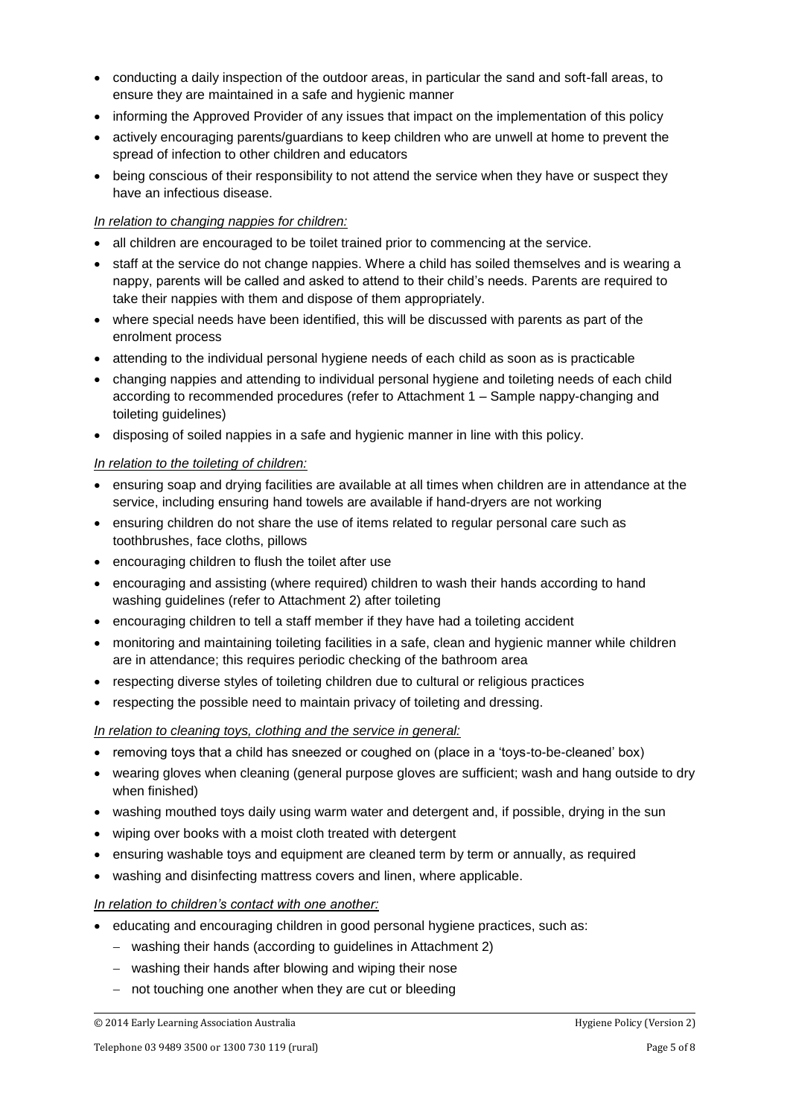- conducting a daily inspection of the outdoor areas, in particular the sand and soft-fall areas, to ensure they are maintained in a safe and hygienic manner
- informing the Approved Provider of any issues that impact on the implementation of this policy
- actively encouraging parents/guardians to keep children who are unwell at home to prevent the spread of infection to other children and educators
- being conscious of their responsibility to not attend the service when they have or suspect they have an infectious disease.

#### *In relation to changing nappies for children:*

- all children are encouraged to be toilet trained prior to commencing at the service.
- staff at the service do not change nappies. Where a child has soiled themselves and is wearing a nappy, parents will be called and asked to attend to their child's needs. Parents are required to take their nappies with them and dispose of them appropriately.
- where special needs have been identified, this will be discussed with parents as part of the enrolment process
- attending to the individual personal hygiene needs of each child as soon as is practicable
- changing nappies and attending to individual personal hygiene and toileting needs of each child according to recommended procedures (refer to Attachment 1 – Sample nappy-changing and toileting guidelines)
- disposing of soiled nappies in a safe and hygienic manner in line with this policy.

#### *In relation to the toileting of children:*

- ensuring soap and drying facilities are available at all times when children are in attendance at the service, including ensuring hand towels are available if hand-dryers are not working
- ensuring children do not share the use of items related to regular personal care such as toothbrushes, face cloths, pillows
- encouraging children to flush the toilet after use
- encouraging and assisting (where required) children to wash their hands according to hand washing guidelines (refer to Attachment 2) after toileting
- encouraging children to tell a staff member if they have had a toileting accident
- monitoring and maintaining toileting facilities in a safe, clean and hygienic manner while children are in attendance; this requires periodic checking of the bathroom area
- respecting diverse styles of toileting children due to cultural or religious practices
- respecting the possible need to maintain privacy of toileting and dressing.

#### *In relation to cleaning toys, clothing and the service in general:*

- removing toys that a child has sneezed or coughed on (place in a 'toys-to-be-cleaned' box)
- wearing gloves when cleaning (general purpose gloves are sufficient; wash and hang outside to dry when finished)
- washing mouthed toys daily using warm water and detergent and, if possible, drying in the sun
- wiping over books with a moist cloth treated with detergent
- ensuring washable toys and equipment are cleaned term by term or annually, as required
- washing and disinfecting mattress covers and linen, where applicable.

#### *In relation to children's contact with one another:*

- educating and encouraging children in good personal hygiene practices, such as:
	- − washing their hands (according to guidelines in Attachment 2)
	- − washing their hands after blowing and wiping their nose
	- − not touching one another when they are cut or bleeding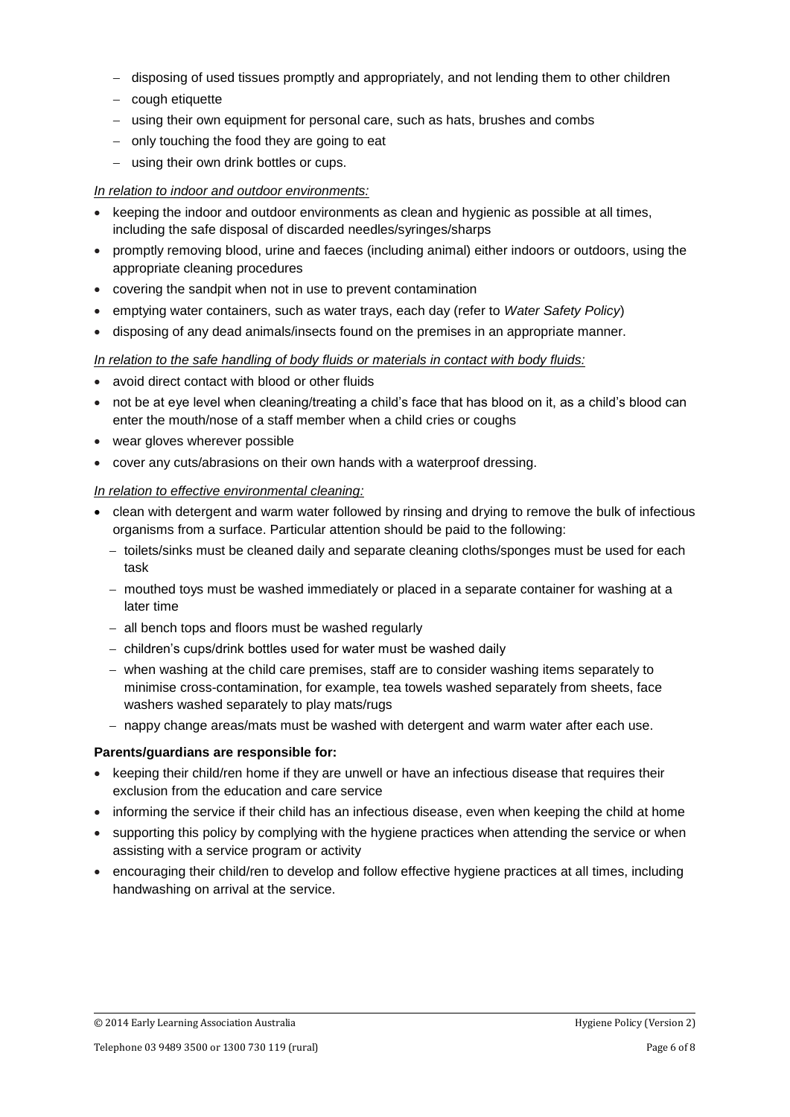- − disposing of used tissues promptly and appropriately, and not lending them to other children
- − cough etiquette
- − using their own equipment for personal care, such as hats, brushes and combs
- − only touching the food they are going to eat
- − using their own drink bottles or cups.

#### *In relation to indoor and outdoor environments:*

- keeping the indoor and outdoor environments as clean and hygienic as possible at all times, including the safe disposal of discarded needles/syringes/sharps
- promptly removing blood, urine and faeces (including animal) either indoors or outdoors, using the appropriate cleaning procedures
- covering the sandpit when not in use to prevent contamination
- emptying water containers, such as water trays, each day (refer to *Water Safety Policy*)
- disposing of any dead animals/insects found on the premises in an appropriate manner.

#### *In relation to the safe handling of body fluids or materials in contact with body fluids:*

- avoid direct contact with blood or other fluids
- not be at eye level when cleaning/treating a child's face that has blood on it, as a child's blood can enter the mouth/nose of a staff member when a child cries or coughs
- wear gloves wherever possible
- cover any cuts/abrasions on their own hands with a waterproof dressing.

#### *In relation to effective environmental cleaning:*

- clean with detergent and warm water followed by rinsing and drying to remove the bulk of infectious organisms from a surface. Particular attention should be paid to the following:
	- − toilets/sinks must be cleaned daily and separate cleaning cloths/sponges must be used for each task
	- − mouthed toys must be washed immediately or placed in a separate container for washing at a later time
	- − all bench tops and floors must be washed regularly
	- − children's cups/drink bottles used for water must be washed daily
	- − when washing at the child care premises, staff are to consider washing items separately to minimise cross-contamination, for example, tea towels washed separately from sheets, face washers washed separately to play mats/rugs
	- − nappy change areas/mats must be washed with detergent and warm water after each use.

#### **Parents/guardians are responsible for:**

- keeping their child/ren home if they are unwell or have an infectious disease that requires their exclusion from the education and care service
- informing the service if their child has an infectious disease, even when keeping the child at home
- supporting this policy by complying with the hygiene practices when attending the service or when assisting with a service program or activity
- encouraging their child/ren to develop and follow effective hygiene practices at all times, including handwashing on arrival at the service.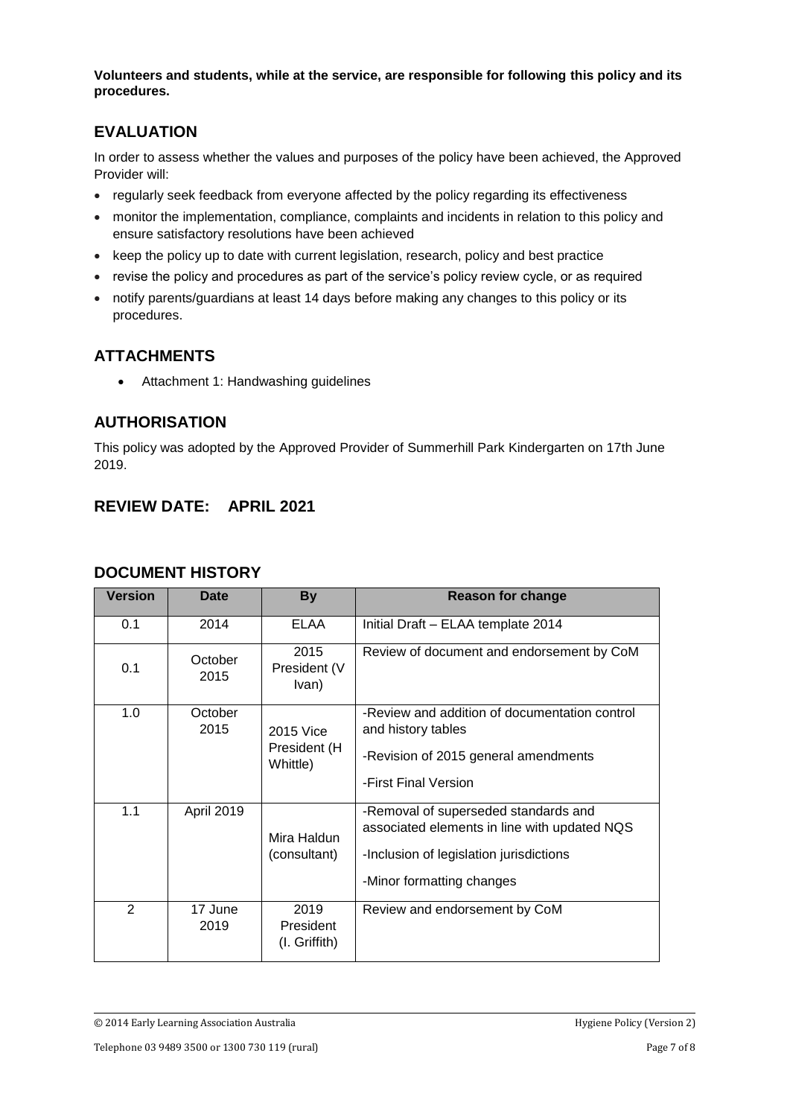**Volunteers and students, while at the service, are responsible for following this policy and its procedures.**

# **EVALUATION**

In order to assess whether the values and purposes of the policy have been achieved, the Approved Provider will:

- regularly seek feedback from everyone affected by the policy regarding its effectiveness
- monitor the implementation, compliance, complaints and incidents in relation to this policy and ensure satisfactory resolutions have been achieved
- keep the policy up to date with current legislation, research, policy and best practice
- revise the policy and procedures as part of the service's policy review cycle, or as required
- notify parents/guardians at least 14 days before making any changes to this policy or its procedures.

# **ATTACHMENTS**

• Attachment 1: Handwashing guidelines

## **AUTHORISATION**

This policy was adopted by the Approved Provider of Summerhill Park Kindergarten on 17th June 2019.

# **REVIEW DATE: APRIL 2021**

| <b>Version</b> | <b>Date</b>       | <b>By</b>                             | <b>Reason for change</b>                                                                                                                                     |
|----------------|-------------------|---------------------------------------|--------------------------------------------------------------------------------------------------------------------------------------------------------------|
| 0.1            | 2014              | ELAA                                  | Initial Draft - ELAA template 2014                                                                                                                           |
| 0.1            | October<br>2015   | 2015<br>President (V<br>Ivan)         | Review of document and endorsement by CoM                                                                                                                    |
| 1.0            | October<br>2015   | 2015 Vice<br>President (H<br>Whittle) | -Review and addition of documentation control<br>and history tables<br>-Revision of 2015 general amendments<br>-First Final Version                          |
| 1.1            | <b>April 2019</b> | Mira Haldun<br>(consultant)           | -Removal of superseded standards and<br>associated elements in line with updated NQS<br>-Inclusion of legislation jurisdictions<br>-Minor formatting changes |
| $\mathcal{P}$  | 17 June<br>2019   | 2019<br>President<br>(I. Griffith)    | Review and endorsement by CoM                                                                                                                                |

### **DOCUMENT HISTORY**